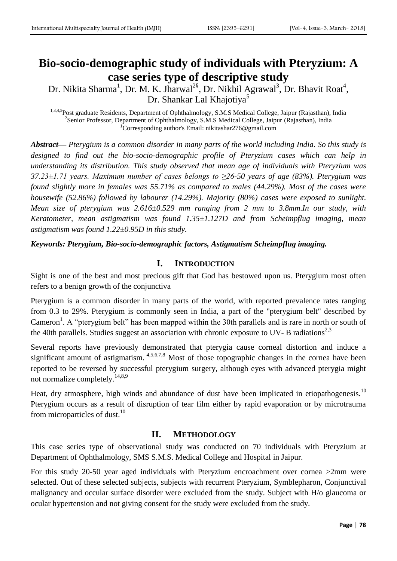# **Bio-socio-demographic study of individuals with Pteryzium: A case series type of descriptive study**

Dr. Nikita Sharma<sup>1</sup>, Dr. M. K. Jharwal<sup>2§</sup>, Dr. Nikhil Agrawal<sup>3</sup>, Dr. Bhavit Roat<sup>4</sup>, Dr. Shankar Lal Khajotiya<sup>5</sup>

1,3,4,5Post graduate Residents, Department of Ophthalmology, S.M.S Medical College, Jaipur (Rajasthan), India <sup>2</sup>Senior Professor, Department of Ophthalmology, S.M.S Medical College, Jaipur (Rajasthan), India §Corresponding author's Email: nikitashar276@gmail.com

*Abstract— Pterygium is a common disorder in many parts of the world including India. So this study is designed to find out the bio-socio-demographic profile of Pteryzium cases which can help in understanding its distribution. This study observed that mean age of individuals with Pteryzium was 37.23±1.71 years. Maximum number of cases belongs to ≥26-50 years of age (83%). Pterygium was found slightly more in females was 55.71% as compared to males (44.29%). Most of the cases were housewife (52.86%) followed by labourer (14.29%). Majority (80%) cases were exposed to sunlight. Mean size of pterygium was 2.616±0.529 mm ranging from 2 mm to 3.8mm.In our study, with Keratometer, mean astigmatism was found 1.35±1.127D and from Scheimpflug imaging, mean astigmatism was found 1.22±0.95D in this study.*

*Keywords: Pterygium, Bio-socio-demographic factors, Astigmatism Scheimpflug imaging.*

# **I. INTRODUCTION**

Sight is one of the best and most precious gift that God has bestowed upon us. Pterygium most often refers to a benign growth of the conjunctiva

Pterygium is a common disorder in many parts of the world, with reported prevalence rates ranging from 0.3 to 29%. Pterygium is commonly seen in India, a part of the "pterygium belt" described by Cameron<sup>1</sup>. A "pterygium belt" has been mapped within the 30th parallels and is rare in north or south of the 40th parallels. Studies suggest an association with chronic exposure to UV- B radiations<sup>2,3</sup>

Several reports have previously demonstrated that pterygia cause corneal distortion and induce a significant amount of astigmatism. <sup>4,5,6,7,8</sup> Most of those topographic changes in the cornea have been reported to be reversed by successful pterygium surgery, although eyes with advanced pterygia might not normalize completely.<sup>14,8,9</sup>

Heat, dry atmosphere, high winds and abundance of dust have been implicated in etiopathogenesis.<sup>10</sup> Pterygium occurs as a result of disruption of tear film either by rapid evaporation or by microtrauma from microparticles of dust.<sup>10</sup>

## **II. METHODOLOGY**

This case series type of observational study was conducted on 70 individuals with Pteryzium at Department of Ophthalmology, SMS S.M.S. Medical College and Hospital in Jaipur.

For this study 20-50 year aged individuals with Pteryzium encroachment over cornea >2mm were selected. Out of these selected subjects, subjects with recurrent Pteryzium, Symblepharon, Conjunctival malignancy and occular surface disorder were excluded from the study. Subject with H/o glaucoma or ocular hypertension and not giving consent for the study were excluded from the study.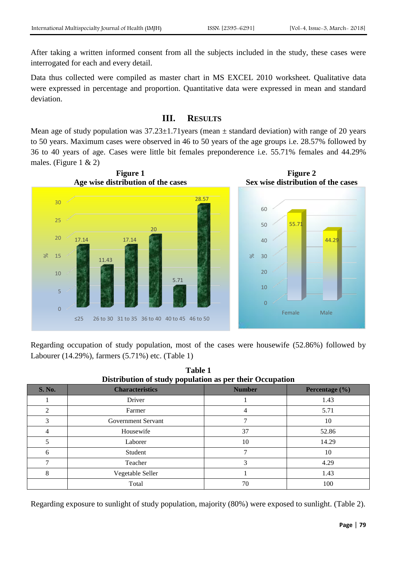After taking a written informed consent from all the subjects included in the study, these cases were interrogated for each and every detail.

Data thus collected were compiled as master chart in MS EXCEL 2010 worksheet. Qualitative data were expressed in percentage and proportion. Quantitative data were expressed in mean and standard deviation.

# **III. RESULTS**

Mean age of study population was  $37.23 \pm 1.71$  years (mean  $\pm$  standard deviation) with range of 20 years to 50 years. Maximum cases were observed in 46 to 50 years of the age groups i.e. 28.57% followed by 36 to 40 years of age. Cases were little bit females preponderence i.e. 55.71% females and 44.29% males. (Figure 1 & 2)



Regarding occupation of study population, most of the cases were housewife (52.86%) followed by Labourer (14.29%), farmers (5.71%) etc. (Table 1)

| Distribution of study population as per their Occupation |                        |               |                    |  |  |
|----------------------------------------------------------|------------------------|---------------|--------------------|--|--|
| <b>S. No.</b>                                            | <b>Characteristics</b> | <b>Number</b> | Percentage $(\% )$ |  |  |
|                                                          | Driver                 |               | 1.43               |  |  |
| 2                                                        | Farmer                 | 4             | 5.71               |  |  |
| 3                                                        | Government Servant     | ⇁             | 10                 |  |  |
|                                                          | Housewife              | 37            | 52.86              |  |  |
|                                                          | Laborer                | 10            | 14.29              |  |  |
| 6                                                        | Student                | 7             | 10                 |  |  |
| 7                                                        | Teacher                | 3             | 4.29               |  |  |
| 8                                                        | Vegetable Seller       |               | 1.43               |  |  |
|                                                          | Total                  | 70            | 100                |  |  |

**Table 1**

Regarding exposure to sunlight of study population, majority (80%) were exposed to sunlight. (Table 2).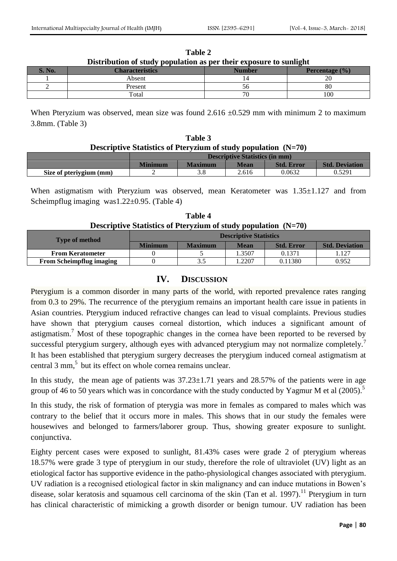| Distribution of study population as per their exposure to sumight |                        |        |                    |  |  |
|-------------------------------------------------------------------|------------------------|--------|--------------------|--|--|
| $\mathcal{N}$ .                                                   | <b>Characteristics</b> | Number | Percentage $(\% )$ |  |  |
|                                                                   | Absent                 |        |                    |  |  |
|                                                                   | Present                |        | 80                 |  |  |
|                                                                   | Total                  | 70     | 100                |  |  |

**Table 2 Distribution of study population as per their exposure to sunlight**

When Pteryzium was observed, mean size was found  $2.616 \pm 0.529$  mm with minimum 2 to maximum 3.8mm. (Table 3)

| Table 3                                                          |  |
|------------------------------------------------------------------|--|
| Descriptive Statistics of Pteryzium of study population $(N=70)$ |  |

|                         | <b>Descriptive Statistics (in mm)</b> |                |       |                   |                       |
|-------------------------|---------------------------------------|----------------|-------|-------------------|-----------------------|
|                         | <b>Minimum</b>                        | <b>Maximum</b> | Mean  | <b>Std. Error</b> | <b>Std. Deviation</b> |
| Size of pteriygium (mm) |                                       |                | 2.616 | 0.0632            | 0.5291                |

When astigmatism with Pteryzium was observed, mean Keratometer was  $1.35\pm1.127$  and from Scheimpflug imaging was1.22±0.95. (Table 4)

| Table 4                                                          |  |  |  |  |
|------------------------------------------------------------------|--|--|--|--|
| Descriptive Statistics of Pteryzium of study population $(N=70)$ |  |  |  |  |

| <b>Type of method</b>           | <b>Descriptive Statistics</b> |                |             |                   |                       |
|---------------------------------|-------------------------------|----------------|-------------|-------------------|-----------------------|
|                                 | <b>Minimum</b>                | <b>Maximum</b> | <b>Mean</b> | <b>Std. Error</b> | <b>Std. Deviation</b> |
| <b>From Keratometer</b>         |                               |                | .3507       | 0.1371            | . 127                 |
| <b>From Scheimpflug imaging</b> |                               | 3.5            | .2207       | 0.11380           | 0.952                 |

### **IV. DISCUSSION**

Pterygium is a common disorder in many parts of the world, with reported prevalence rates ranging from 0.3 to 29%. The recurrence of the pterygium remains an important health care issue in patients in Asian countries. Pterygium induced refractive changes can lead to visual complaints. Previous studies have shown that pterygium causes corneal distortion, which induces a significant amount of astigmatism.<sup>7</sup> Most of these topographic changes in the cornea have been reported to be reversed by successful pterygium surgery, although eyes with advanced pterygium may not normalize completely.<sup>7</sup> It has been established that pterygium surgery decreases the pterygium induced corneal astigmatism at central  $3 \text{ mm}$ , but its effect on whole cornea remains unclear.

In this study, the mean age of patients was  $37.23 \pm 1.71$  years and  $28.57\%$  of the patients were in age group of 46 to 50 years which was in concordance with the study conducted by [Yagmur M](https://www.ncbi.nlm.nih.gov/pubmed/?term=Yagmur%20M%5BAuthor%5D&cauthor=true&cauthor_uid=15796222) et al  $(2005)$ .<sup>5</sup>

In this study, the risk of formation of pterygia was more in females as compared to males which was contrary to the belief that it occurs more in males. This shows that in our study the females were housewives and belonged to farmers/laborer group. Thus, showing greater exposure to sunlight. conjunctiva.

Eighty percent cases were exposed to sunlight, 81.43% cases were grade 2 of pterygium whereas 18.57% were grade 3 type of pterygium in our study, therefore the role of ultraviolet (UV) light as an etiological factor has supportive evidence in the patho-physiological changes associated with pterygium. UV radiation is a recognised etiological factor in skin malignancy and can induce mutations in Bowen's disease, solar keratosis and squamous cell carcinoma of the skin (Tan et al. 1997).<sup>11</sup> Pterygium in turn has clinical characteristic of mimicking a growth disorder or benign tumour. UV radiation has been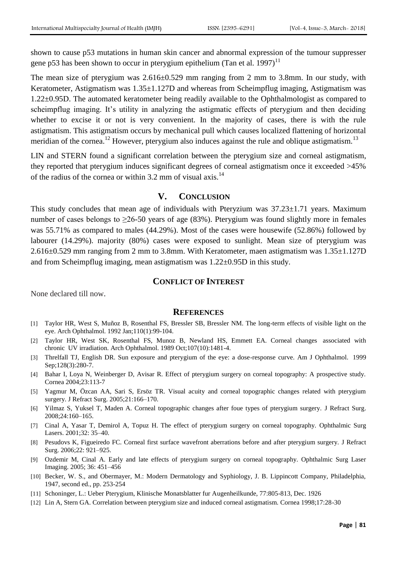shown to cause p53 mutations in human skin cancer and abnormal expression of the tumour suppresser gene p53 has been shown to occur in pterygium epithelium (Tan et al. 1997)<sup>11</sup>

The mean size of pterygium was 2.616±0.529 mm ranging from 2 mm to 3.8mm. In our study, with Keratometer, Astigmatism was  $1.35\pm1.127D$  and whereas from Scheimpflug imaging, Astigmatism was 1.22±0.95D. The automated keratometer being readily available to the Ophthalmologist as compared to scheimpflug imaging. It's utility in analyzing the astigmatic effects of pterygium and then deciding whether to excise it or not is very convenient. In the majority of cases, there is with the rule astigmatism. This astigmatism occurs by mechanical pull which causes localized flattening of horizontal meridian of the cornea.<sup>12</sup> However, pterygium also induces against the rule and oblique astigmatism.<sup>13</sup>

LIN and STERN found a significant correlation between the pterygium size and corneal astigmatism, they reported that pterygium induces significant degrees of corneal astigmatism once it exceeded >45% of the radius of the cornea or within 3.2 mm of visual axis.<sup>14</sup>

#### **V. CONCLUSION**

This study concludes that mean age of individuals with Pteryzium was  $37.23 \pm 1.71$  years. Maximum number of cases belongs to  $\geq 26-50$  years of age (83%). Pterygium was found slightly more in females was 55.71% as compared to males (44.29%). Most of the cases were housewife (52.86%) followed by labourer (14.29%). majority (80%) cases were exposed to sunlight. Mean size of pterygium was 2.616±0.529 mm ranging from 2 mm to 3.8mm. With Keratometer, maen astigmatism was 1.35±1.127D and from Scheimpflug imaging, mean astigmatism was 1.22±0.95D in this study.

## **CONFLICT OF INTEREST**

None declared till now.

#### **REFERENCES**

- [1] Taylor HR, West S, Muñoz B, Rosenthal FS, Bressler SB, Bressler NM. The long-term effects of visible light on the eye. Arch Ophthalmol. 1992 Jan;110(1):99-104.
- [2] Taylor HR, West SK, Rosenthal FS, Munoz B, Newland HS, Emmett EA. Corneal changes associated with chronic UV irradiation. Arch Ophthalmol. 1989 Oct;107(10):1481-4.
- [3] Threlfall TJ, English DR. Sun exposure and pterygium of the eye: a dose-response curve. Am J Ophthalmol. 1999 Sep;128(3):280-7.
- [4] Bahar I, Loya N, Weinberger D, Avisar R. Effect of pterygium surgery on corneal topography: A prospective study. Cornea 2004;23:113-7
- [5] Yagmur M, Özcan AA, Sari S, Ersöz TR. Visual acuity and corneal topographic changes related with pterygium surgery. J Refract Surg. 2005;21:166–170.
- [6] Yilmaz S, Yuksel T, Maden A. Corneal topographic changes after foue types of pterygium surgery. J Refract Surg. 2008;24:160–165.
- [7] Cinal A, Yasar T, Demirol A, Topuz H. The effect of pterygium surgery on corneal topography. Ophthalmic Surg Lasers. 2001;32: 35–40.
- [8] Pesudovs K, Figueiredo FC. Corneal first surface wavefront aberrations before and after pterygium surgery. J Refract Surg. 2006;22: 921–925.
- [9] Ozdemir M, Cinal A. Early and late effects of pterygium surgery on corneal topography. Ophthalmic Surg Laser Imaging. 2005; 36: 451–456
- [10] Becker, W. S., and Obermayer, M.: Modern Dermatology and Syphiology, J. B. Lippincott Company, Philadelphia, 1947, second ed., pp. 253-254
- [11] Schoninger, L.: Ueber Pterygium, Klinische Monatsblatter fur Augenheilkunde, 77:805-813, Dec. 1926
- [12] Lin A, Stern GA. Correlation between pterygium size and induced corneal astigmatism. Cornea 1998;17:28-30